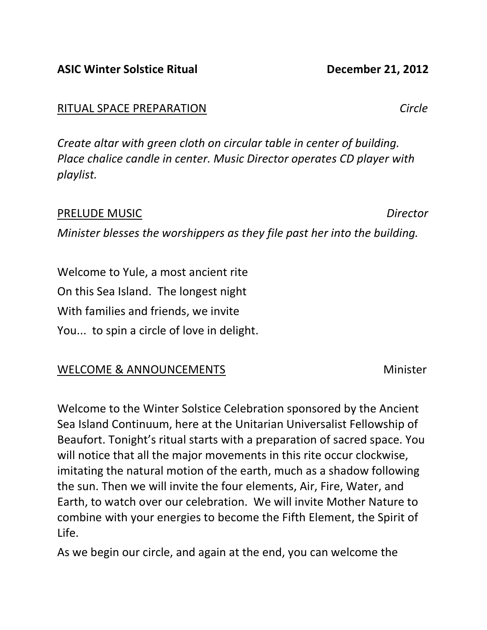## ASIC Winter Solstice Ritual December 21, 2012

## RITUAL SPACE PREPARATION Circle

Create altar with green cloth on circular table in center of building. Place chalice candle in center. Music Director operates CD player with playlist.

# PRELUDE MUSIC Director

Minister blesses the worshippers as they file past her into the building.

Welcome to Yule, a most ancient rite On this Sea Island. The longest night With families and friends, we invite You... to spin a circle of love in delight.

## WELCOME & ANNOUNCEMENTS Minister

Welcome to the Winter Solstice Celebration sponsored by the Ancient Sea Island Continuum, here at the Unitarian Universalist Fellowship of Beaufort. Tonight's ritual starts with a preparation of sacred space. You will notice that all the major movements in this rite occur clockwise, imitating the natural motion of the earth, much as a shadow following the sun. Then we will invite the four elements, Air, Fire, Water, and Earth, to watch over our celebration. We will invite Mother Nature to combine with your energies to become the Fifth Element, the Spirit of Life.

As we begin our circle, and again at the end, you can welcome the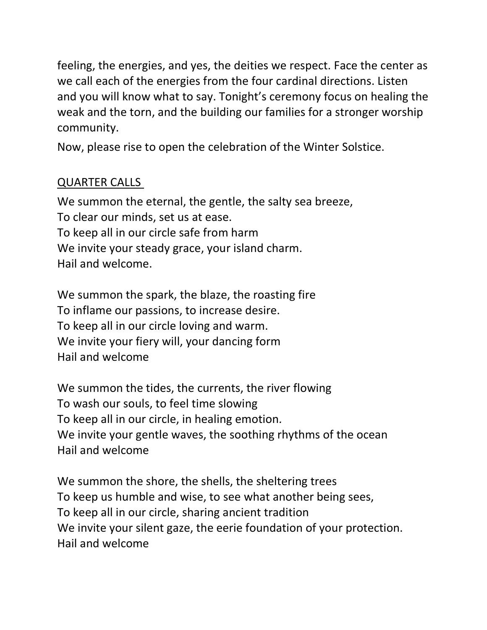feeling, the energies, and yes, the deities we respect. Face the center as we call each of the energies from the four cardinal directions. Listen and you will know what to say. Tonight's ceremony focus on healing the weak and the torn, and the building our families for a stronger worship community.

Now, please rise to open the celebration of the Winter Solstice.

## QUARTER CALLS

We summon the eternal, the gentle, the salty sea breeze, To clear our minds, set us at ease. To keep all in our circle safe from harm We invite your steady grace, your island charm. Hail and welcome.

We summon the spark, the blaze, the roasting fire To inflame our passions, to increase desire. To keep all in our circle loving and warm. We invite your fiery will, your dancing form Hail and welcome

We summon the tides, the currents, the river flowing To wash our souls, to feel time slowing To keep all in our circle, in healing emotion. We invite your gentle waves, the soothing rhythms of the ocean Hail and welcome

We summon the shore, the shells, the sheltering trees To keep us humble and wise, to see what another being sees, To keep all in our circle, sharing ancient tradition We invite your silent gaze, the eerie foundation of your protection. Hail and welcome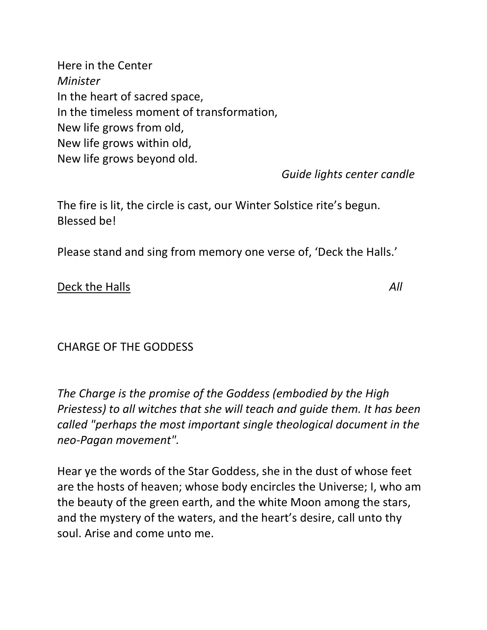Here in the Center Minister In the heart of sacred space, In the timeless moment of transformation, New life grows from old, New life grows within old, New life grows beyond old.

Guide lights center candle

The fire is lit, the circle is cast, our Winter Solstice rite's begun. Blessed be!

Please stand and sing from memory one verse of, 'Deck the Halls.'

### Deck the Halls All

CHARGE OF THE GODDESS

The Charge is the promise of the Goddess (embodied by the High Priestess) to all witches that she will teach and guide them. It has been called "perhaps the most important single theological document in the neo-Pagan movement".

Hear ye the words of the Star Goddess, she in the dust of whose feet are the hosts of heaven; whose body encircles the Universe; I, who am the beauty of the green earth, and the white Moon among the stars, and the mystery of the waters, and the heart's desire, call unto thy soul. Arise and come unto me.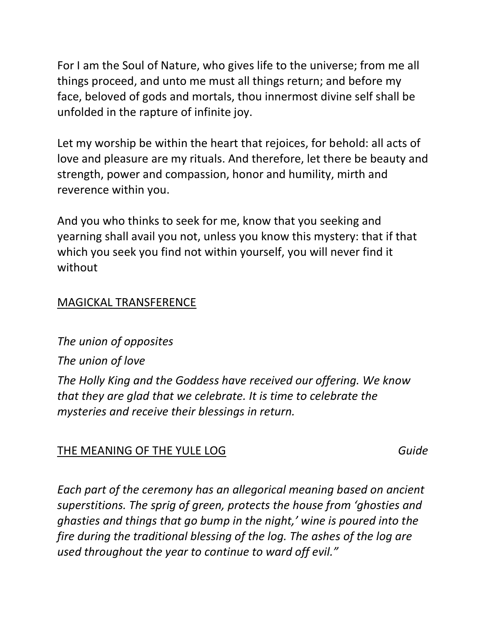For I am the Soul of Nature, who gives life to the universe; from me all things proceed, and unto me must all things return; and before my face, beloved of gods and mortals, thou innermost divine self shall be unfolded in the rapture of infinite joy.

Let my worship be within the heart that rejoices, for behold: all acts of love and pleasure are my rituals. And therefore, let there be beauty and strength, power and compassion, honor and humility, mirth and reverence within you.

And you who thinks to seek for me, know that you seeking and yearning shall avail you not, unless you know this mystery: that if that which you seek you find not within yourself, you will never find it without

### MAGICKAL TRANSFERENCE

The union of opposites The union of love The Holly King and the Goddess have received our offering. We know that they are glad that we celebrate. It is time to celebrate the mysteries and receive their blessings in return.

### THE MEANING OF THE YULE LOG Guide

Each part of the ceremony has an allegorical meaning based on ancient superstitions. The sprig of green, protects the house from 'ghosties and ghasties and things that go bump in the night,' wine is poured into the fire during the traditional blessing of the log. The ashes of the log are used throughout the year to continue to ward off evil."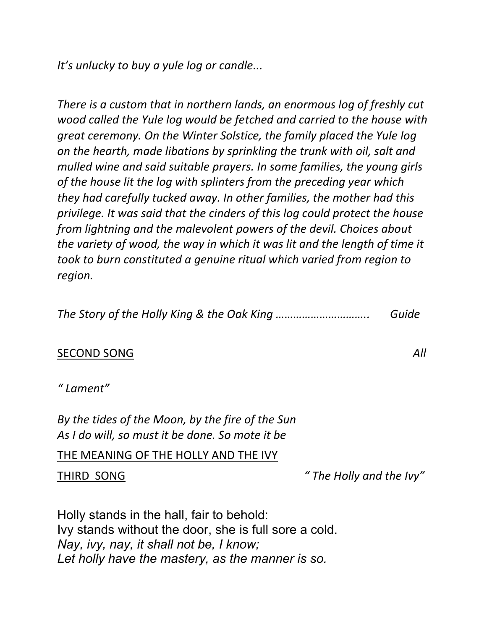It's unlucky to buy a yule log or candle...

There is a custom that in northern lands, an enormous log of freshly cut wood called the Yule log would be fetched and carried to the house with great ceremony. On the Winter Solstice, the family placed the Yule log on the hearth, made libations by sprinkling the trunk with oil, salt and mulled wine and said suitable prayers. In some families, the young girls of the house lit the log with splinters from the preceding year which they had carefully tucked away. In other families, the mother had this privilege. It was said that the cinders of this log could protect the house from lightning and the malevolent powers of the devil. Choices about the variety of wood, the way in which it was lit and the length of time it took to burn constituted a genuine ritual which varied from region to region.

The Story of the Holly King & the Oak King ………………………….. Guide

### SECOND SONG All

### " Lament"

By the tides of the Moon, by the fire of the Sun As I do will, so must it be done. So mote it be

#### THE MEANING OF THE HOLLY AND THE IVY

THIRD SONG THIRD SONG

Holly stands in the hall, fair to behold: Ivy stands without the door, she is full sore a cold. Nay, ivy, nay, it shall not be, I know; Let holly have the mastery, as the manner is so.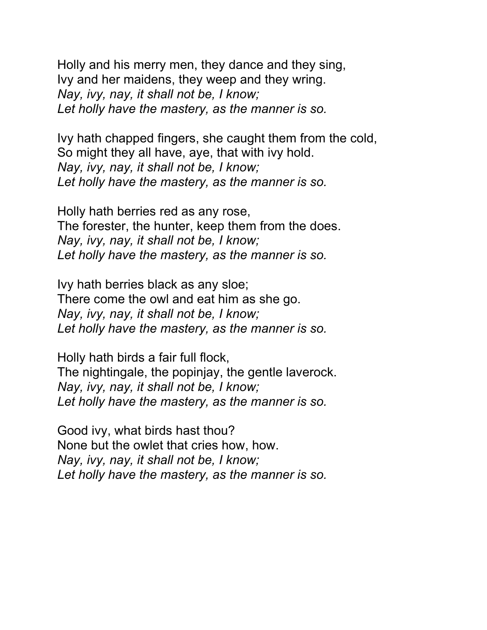Holly and his merry men, they dance and they sing, Ivy and her maidens, they weep and they wring. Nay, ivy, nay, it shall not be, I know; Let holly have the mastery, as the manner is so.

Ivy hath chapped fingers, she caught them from the cold, So might they all have, aye, that with ivy hold. Nay, ivy, nay, it shall not be, I know; Let holly have the mastery, as the manner is so.

Holly hath berries red as any rose, The forester, the hunter, keep them from the does. Nay, ivy, nay, it shall not be, I know; Let holly have the mastery, as the manner is so.

Ivy hath berries black as any sloe; There come the owl and eat him as she go. Nay, ivy, nay, it shall not be, I know; Let holly have the mastery, as the manner is so.

Holly hath birds a fair full flock, The nightingale, the popinjay, the gentle laverock. Nay, ivy, nay, it shall not be, I know; Let holly have the mastery, as the manner is so.

Good ivy, what birds hast thou? None but the owlet that cries how, how. Nay, ivy, nay, it shall not be, I know; Let holly have the mastery, as the manner is so.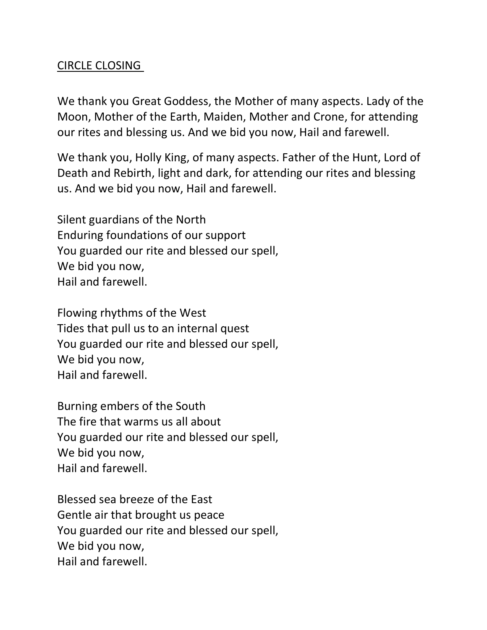## CIRCLE CLOSING

We thank you Great Goddess, the Mother of many aspects. Lady of the Moon, Mother of the Earth, Maiden, Mother and Crone, for attending our rites and blessing us. And we bid you now, Hail and farewell.

We thank you, Holly King, of many aspects. Father of the Hunt, Lord of Death and Rebirth, light and dark, for attending our rites and blessing us. And we bid you now, Hail and farewell.

Silent guardians of the North Enduring foundations of our support You guarded our rite and blessed our spell, We bid you now, Hail and farewell.

Flowing rhythms of the West Tides that pull us to an internal quest You guarded our rite and blessed our spell, We bid you now, Hail and farewell.

Burning embers of the South The fire that warms us all about You guarded our rite and blessed our spell, We bid you now, Hail and farewell.

Blessed sea breeze of the East Gentle air that brought us peace You guarded our rite and blessed our spell, We bid you now, Hail and farewell.